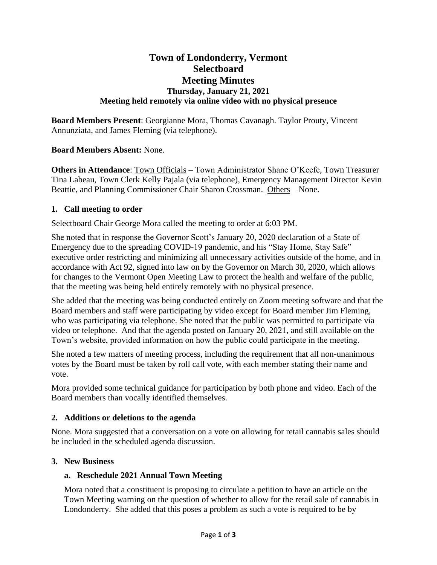# **Town of Londonderry, Vermont Selectboard Meeting Minutes Thursday, January 21, 2021 Meeting held remotely via online video with no physical presence**

**Board Members Present**: Georgianne Mora, Thomas Cavanagh. Taylor Prouty, Vincent Annunziata, and James Fleming (via telephone).

## **Board Members Absent:** None.

**Others in Attendance**: Town Officials – Town Administrator Shane O'Keefe, Town Treasurer Tina Labeau, Town Clerk Kelly Pajala (via telephone), Emergency Management Director Kevin Beattie, and Planning Commissioner Chair Sharon Crossman. Others – None.

## **1. Call meeting to order**

Selectboard Chair George Mora called the meeting to order at 6:03 PM.

She noted that in response the Governor Scott's January 20, 2020 declaration of a State of Emergency due to the spreading COVID-19 pandemic, and his "Stay Home, Stay Safe" executive order restricting and minimizing all unnecessary activities outside of the home, and in accordance with Act 92, signed into law on by the Governor on March 30, 2020, which allows for changes to the Vermont Open Meeting Law to protect the health and welfare of the public, that the meeting was being held entirely remotely with no physical presence.

She added that the meeting was being conducted entirely on Zoom meeting software and that the Board members and staff were participating by video except for Board member Jim Fleming, who was participating via telephone. She noted that the public was permitted to participate via video or telephone. And that the agenda posted on January 20, 2021, and still available on the Town's website, provided information on how the public could participate in the meeting.

She noted a few matters of meeting process, including the requirement that all non-unanimous votes by the Board must be taken by roll call vote, with each member stating their name and vote.

Mora provided some technical guidance for participation by both phone and video. Each of the Board members than vocally identified themselves.

#### **2. Additions or deletions to the agenda**

None. Mora suggested that a conversation on a vote on allowing for retail cannabis sales should be included in the scheduled agenda discussion.

#### **3. New Business**

#### **a. Reschedule 2021 Annual Town Meeting**

Mora noted that a constituent is proposing to circulate a petition to have an article on the Town Meeting warning on the question of whether to allow for the retail sale of cannabis in Londonderry. She added that this poses a problem as such a vote is required to be by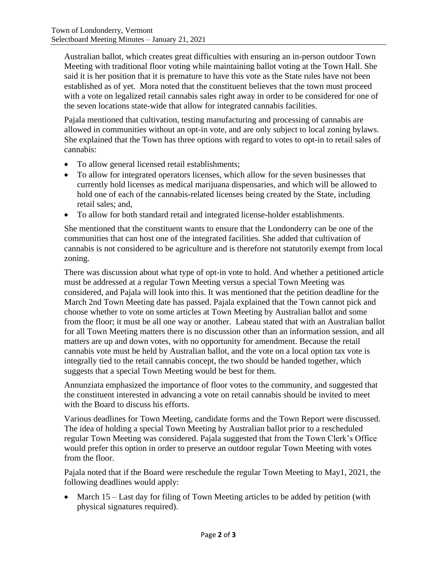Australian ballot, which creates great difficulties with ensuring an in-person outdoor Town Meeting with traditional floor voting while maintaining ballot voting at the Town Hall. She said it is her position that it is premature to have this vote as the State rules have not been established as of yet. Mora noted that the constituent believes that the town must proceed with a vote on legalized retail cannabis sales right away in order to be considered for one of the seven locations state-wide that allow for integrated cannabis facilities.

Pajala mentioned that cultivation, testing manufacturing and processing of cannabis are allowed in communities without an opt-in vote, and are only subject to local zoning bylaws. She explained that the Town has three options with regard to votes to opt-in to retail sales of cannabis:

- To allow general licensed retail establishments;
- To allow for integrated operators licenses, which allow for the seven businesses that currently hold licenses as medical marijuana dispensaries, and which will be allowed to hold one of each of the cannabis-related licenses being created by the State, including retail sales; and,
- To allow for both standard retail and integrated license-holder establishments.

She mentioned that the constituent wants to ensure that the Londonderry can be one of the communities that can host one of the integrated facilities. She added that cultivation of cannabis is not considered to be agriculture and is therefore not statutorily exempt from local zoning.

There was discussion about what type of opt-in vote to hold. And whether a petitioned article must be addressed at a regular Town Meeting versus a special Town Meeting was considered, and Pajala will look into this. It was mentioned that the petition deadline for the March 2nd Town Meeting date has passed. Pajala explained that the Town cannot pick and choose whether to vote on some articles at Town Meeting by Australian ballot and some from the floor; it must be all one way or another. Labeau stated that with an Australian ballot for all Town Meeting matters there is no discussion other than an information session, and all matters are up and down votes, with no opportunity for amendment. Because the retail cannabis vote must be held by Australian ballot, and the vote on a local option tax vote is integrally tied to the retail cannabis concept, the two should be handed together, which suggests that a special Town Meeting would be best for them.

Annunziata emphasized the importance of floor votes to the community, and suggested that the constituent interested in advancing a vote on retail cannabis should be invited to meet with the Board to discuss his efforts.

Various deadlines for Town Meeting, candidate forms and the Town Report were discussed. The idea of holding a special Town Meeting by Australian ballot prior to a rescheduled regular Town Meeting was considered. Pajala suggested that from the Town Clerk's Office would prefer this option in order to preserve an outdoor regular Town Meeting with votes from the floor.

Pajala noted that if the Board were reschedule the regular Town Meeting to May1, 2021, the following deadlines would apply:

• March 15 – Last day for filing of Town Meeting articles to be added by petition (with physical signatures required).